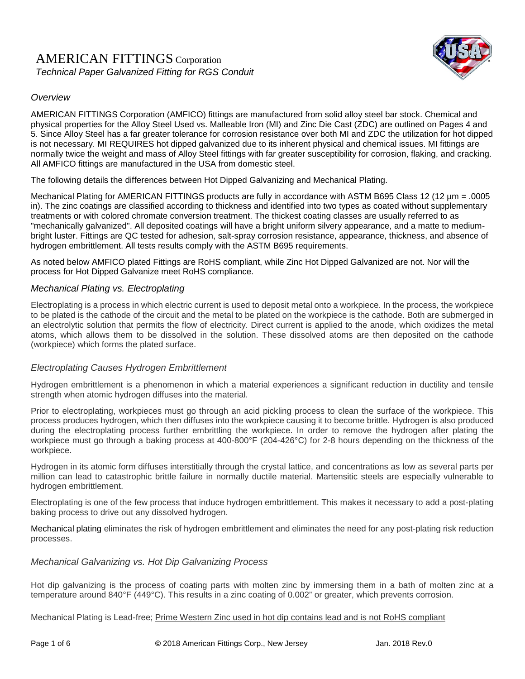



AMERICAN FITTINGS Corporation (AMFICO) fittings are manufactured from solid alloy steel bar stock. Chemical and physical properties for the Alloy Steel Used vs. Malleable Iron (MI) and Zinc Die Cast (ZDC) are outlined on Pages 4 and 5. Since Alloy Steel has a far greater tolerance for corrosion resistance over both MI and ZDC the utilization for hot dipped is not necessary. MI REQUIRES hot dipped galvanized due to its inherent physical and chemical issues. MI fittings are normally twice the weight and mass of Alloy Steel fittings with far greater susceptibility for corrosion, flaking, and cracking. All AMFICO fittings are manufactured in the USA from domestic steel.

The following details the differences between Hot Dipped Galvanizing and Mechanical Plating.

Mechanical Plating for AMERICAN FITTINGS products are fully in accordance with ASTM B695 Class 12 (12 µm = .0005 in). The zinc coatings are classified according to thickness and identified into two types as coated without supplementary treatments or with colored chromate conversion treatment. The thickest coating classes are usually referred to as "mechanically galvanized". All deposited coatings will have a bright uniform silvery appearance, and a matte to mediumbright luster. Fittings are QC tested for adhesion, salt-spray corrosion resistance, appearance, thickness, and absence of hydrogen embrittlement. All tests results comply with the ASTM B695 requirements.

As noted below AMFICO plated Fittings are RoHS compliant, while Zinc Hot Dipped Galvanized are not. Nor will the process for Hot Dipped Galvanize meet RoHS compliance.

## *Mechanical Plating vs. Electroplating*

Electroplating is a process in which electric current is used to deposit metal onto a workpiece. In the process, the workpiece to be plated is the cathode of the circuit and the metal to be plated on the workpiece is the cathode. Both are submerged in an electrolytic solution that permits the flow of electricity. Direct current is applied to the anode, which oxidizes the metal atoms, which allows them to be dissolved in the solution. These dissolved atoms are then deposited on the cathode (workpiece) which forms the plated surface.

## *Electroplating Causes Hydrogen Embrittlement*

Hydrogen embrittlement is a phenomenon in which a material experiences a significant reduction in ductility and tensile strength when atomic hydrogen diffuses into the material.

Prior to electroplating, workpieces must go through an acid pickling process to clean the surface of the workpiece. This process produces hydrogen, which then diffuses into the workpiece causing it to become brittle. Hydrogen is also produced during the electroplating process further embrittling the workpiece. In order to remove the hydrogen after plating the workpiece must go through a baking process at 400-800°F (204-426°C) for 2-8 hours depending on the thickness of the workpiece.

Hydrogen in its atomic form diffuses interstitially through the crystal lattice, and concentrations as low as several parts per million can lead to catastrophic brittle failure in normally ductile material. Martensitic steels are especially vulnerable to hydrogen embrittlement.

Electroplating is one of the few process that induce hydrogen embrittlement. This makes it necessary to add a post-plating baking process to drive out any dissolved hydrogen.

Mechanical plating eliminates the risk of hydrogen embrittlement and eliminates the need for any post-plating risk reduction processes.

## *Mechanical Galvanizing vs. Hot Dip Galvanizing Process*

Hot dip galvanizing is the process of coating parts with molten zinc by immersing them in a bath of molten zinc at a temperature around 840°F (449°C). This results in a zinc coating of 0.002" or greater, which prevents corrosion.

Mechanical Plating is Lead-free; Prime Western Zinc used in hot dip contains lead and is not RoHS compliant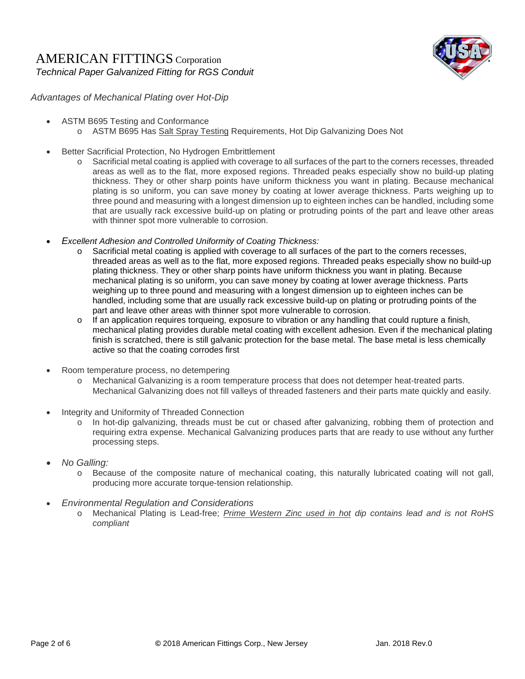## AMERICAN FITTINGS Corporation *Technical Paper Galvanized Fitting for RGS Conduit*



*Advantages of Mechanical Plating over Hot-Dip* 

- ASTM B695 Testing and Conformance
	- o ASTM B695 Has Salt Spray Testing Requirements, Hot Dip Galvanizing Does Not
- Better Sacrificial Protection, No Hydrogen Embrittlement
	- o Sacrificial metal coating is applied with coverage to all surfaces of the part to the corners recesses, threaded areas as well as to the flat, more exposed regions. Threaded peaks especially show no build-up plating thickness. They or other sharp points have uniform thickness you want in plating. Because mechanical plating is so uniform, you can save money by coating at lower average thickness. Parts weighing up to three pound and measuring with a longest dimension up to eighteen inches can be handled, including some that are usually rack excessive build-up on plating or protruding points of the part and leave other areas with thinner spot more vulnerable to corrosion.
- *Excellent Adhesion and Controlled Uniformity of Coating Thickness:*
	- o Sacrificial metal coating is applied with coverage to all surfaces of the part to the corners recesses, threaded areas as well as to the flat, more exposed regions. Threaded peaks especially show no build-up plating thickness. They or other sharp points have uniform thickness you want in plating. Because mechanical plating is so uniform, you can save money by coating at lower average thickness. Parts weighing up to three pound and measuring with a longest dimension up to eighteen inches can be handled, including some that are usually rack excessive build-up on plating or protruding points of the part and leave other areas with thinner spot more vulnerable to corrosion.
	- o If an application requires torqueing, exposure to vibration or any handling that could rupture a finish, mechanical plating provides durable metal coating with excellent adhesion. Even if the mechanical plating finish is scratched, there is still galvanic protection for the base metal. The base metal is less chemically active so that the coating corrodes first
- Room temperature process, no detempering
	- o Mechanical Galvanizing is a room temperature process that does not detemper heat-treated parts. Mechanical Galvanizing does not fill valleys of threaded fasteners and their parts mate quickly and easily.
- Integrity and Uniformity of Threaded Connection
	- o In hot-dip galvanizing, threads must be cut or chased after galvanizing, robbing them of protection and requiring extra expense. Mechanical Galvanizing produces parts that are ready to use without any further processing steps.
- *No Galling:*
	- o Because of the composite nature of mechanical coating, this naturally lubricated coating will not gall, producing more accurate torque-tension relationship.
- *Environmental Regulation and Considerations*
	- o Mechanical Plating is Lead-free; *Prime Western Zinc used in hot dip contains lead and is not RoHS compliant*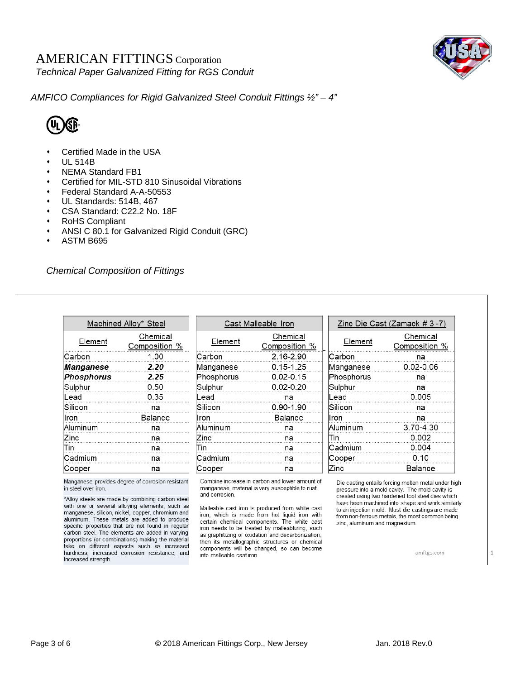## AMERICAN FITTINGS Corporation *Technical Paper Galvanized Fitting for RGS Conduit*



*AMFICO Compliances for Rigid Galvanized Steel Conduit Fittings ½" – 4"* 



- Certified Made in the USA
- UL 514B
- NEMA Standard FB1
- Certified for MIL-STD 810 Sinusoidal Vibrations
- Federal Standard A-A-50553
- UL Standards: 514B, 467
- CSA Standard: C22.2 No. 18F
- RoHS Compliant
- ANSI C 80.1 for Galvanized Rigid Conduit (GRC)
- ASTM B695

*Chemical Composition of Fittings* 

|                   | Machined Alloy* Steel     |  |  |  |
|-------------------|---------------------------|--|--|--|
| Element           | Chemical<br>Composition % |  |  |  |
| Carbon            | 1.00                      |  |  |  |
| Manganese         | 2.20                      |  |  |  |
| <b>Phosphorus</b> | 2.25                      |  |  |  |
| Sulphur           | 0.50                      |  |  |  |
| Lead              | 0.35                      |  |  |  |
| Silicon           | na                        |  |  |  |
| Iron              | Balance                   |  |  |  |
| Aluminum          | na                        |  |  |  |
| Zinc              | na                        |  |  |  |
| Tin               | na                        |  |  |  |
| Cadmium           | na                        |  |  |  |
| Cooper            | na                        |  |  |  |

Manganese provides degree of corrosion resistant in steel over iron.

\*Alloy steels are made by combining carbon steel with one or several alloying elements, such as manganese, silicon, nickel, copper, chromium and aluminum. These metals are added to produce specific properties that are not found in regular carbon steel. The elements are added in varying proportions (or combinations) making the material take on different aspects such as increased hardness, increased corrosion resistance, and increased strength.

|            | Cast Malleable Iron       |
|------------|---------------------------|
| Element    | Chemical<br>Composition % |
| Carbon     | 2.16-2.90                 |
| Manganese  | $0.15 - 1.25$             |
| Phosphorus | $0.02 - 0.15$             |
| Sulphur    | $0.02 - 0.20$             |
| Lead       | na                        |
| Silicon    | $0.90 - 1.90$             |
| Iron       | Balance                   |
| Aluminum   | na                        |
| Zinc       | na                        |
| Tin        | na                        |
| Cadmium    | na                        |
| Cooper     | na                        |

Combine increase in carbon and lower amount of manganese, material is very susceptible to rust and corrosion.

Malleable cast iron is produced from white cast iron, which is made from hot liquid iron with certain chemical components. The white cast iron needs to be treated by malleablizing, such as graphitizing or oxidation and decarbonization, then its metallographic structures or chemical components will be changed, so can become into malleable cast iron.

|            | Zinc Die Cast (Zamack # 3 -7) |  |  |  |
|------------|-------------------------------|--|--|--|
| Element    | Chemical<br>Composition %     |  |  |  |
| Carbon     | na                            |  |  |  |
| Manganese  | $0.02 - 0.06$                 |  |  |  |
| Phosphorus | na                            |  |  |  |
| Sulphur    | na                            |  |  |  |
| Lead       | 0.005                         |  |  |  |
| Silicon    | na                            |  |  |  |
| Iron       | na                            |  |  |  |
| Aluminum   | 3.70-4.30                     |  |  |  |
| Tin        | 0.002                         |  |  |  |
| Cadmium    | 0.004                         |  |  |  |
| Cooper     | 0.10                          |  |  |  |
| Zinc       | Balance                       |  |  |  |

Die casting entails forcing molten metal under high pressure into a mold cavity. The mold cavity is<br>created using two hardened tool steel dies which have been machined into shape and work similarly to an injection mold. Most die castings are made from non-ferrous metals, the most common being zinc, aluminum and magnesium.

amftgs.com

1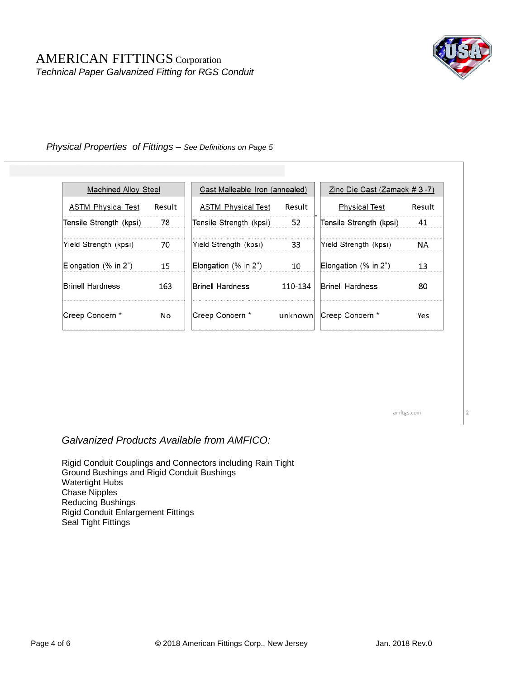

### *Physical Properties of Fittings – See Definitions on Page 5*

| Machined Alloy Steel      |        | Cast Malleable Iron (annealed) |         | Zinc Die Cast (Zamack $#3-7$ ) |        |
|---------------------------|--------|--------------------------------|---------|--------------------------------|--------|
| <b>ASTM Physical Test</b> | Result | <b>ASTM Physical Test</b>      | Result  | <b>Physical Test</b>           | Result |
| Tensile Strength (kpsi)   | 78     | Tensile Strength (kpsi)        | 52      | Tensile Strength (kpsi)        | 41     |
| Yield Strength (kpsi)     | 70     | Yield Strength (kpsi)          | 33      | Yield Strength (kpsi)          | NА     |
| Elongation $(\%$ in $2")$ | 15     | Elongation (% in 2")           | 10      | Elongation (% in 2")           | 13     |
| Brinell Hardness          | 163    | <b>Brinell Hardness</b>        | 110-134 | <b>Brinell Hardness</b>        | 80     |
| Creep Concern *           | No.    | Creep Concern *                | unknown | Creep Concern *                | Yes    |

amftgs.com

 $\overline{2}$ 

*Galvanized Products Available from AMFICO:*

Rigid Conduit Couplings and Connectors including Rain Tight Ground Bushings and Rigid Conduit Bushings Watertight Hubs Chase Nipples Reducing Bushings Rigid Conduit Enlargement Fittings Seal Tight Fittings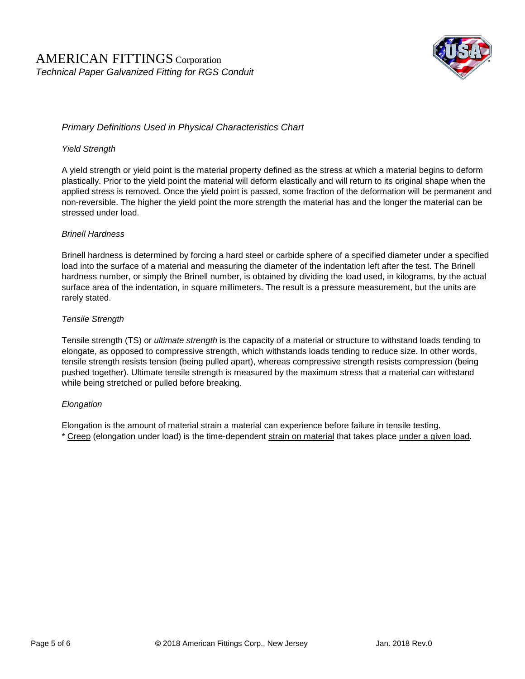

## *Primary Definitions Used in Physical Characteristics Chart*

### *Yield Strength*

A yield strength or yield point is the material property defined as the stress at which a material begins to deform plastically. Prior to the yield point the material will deform elastically and will return to its original shape when the applied stress is removed. Once the yield point is passed, some fraction of the deformation will be permanent and non-reversible. The higher the yield point the more strength the material has and the longer the material can be stressed under load.

#### *Brinell Hardness*

Brinell hardness is determined by forcing a hard steel or carbide sphere of a specified diameter under a specified load into the surface of a material and measuring the diameter of the indentation left after the test. The Brinell hardness number, or simply the Brinell number, is obtained by dividing the load used, in kilograms, by the actual surface area of the indentation, in square millimeters. The result is a pressure measurement, but the units are rarely stated.

#### *Tensile Strength*

Tensile strength (TS) or *ultimate strength* is the capacity of a material or structure to withstand loads tending to elongate, as opposed to compressive strength, which withstands loads tending to reduce size. In other words, tensile strength resists tension (being pulled apart), whereas compressive strength resists compression (being pushed together). Ultimate tensile strength is measured by the maximum stress that a material can withstand while being stretched or pulled before breaking.

### *Elongation*

Elongation is the amount of material strain a material can experience before failure in tensile testing. \* Creep (elongation under load) is the time-dependent strain on material that takes place under a given load.